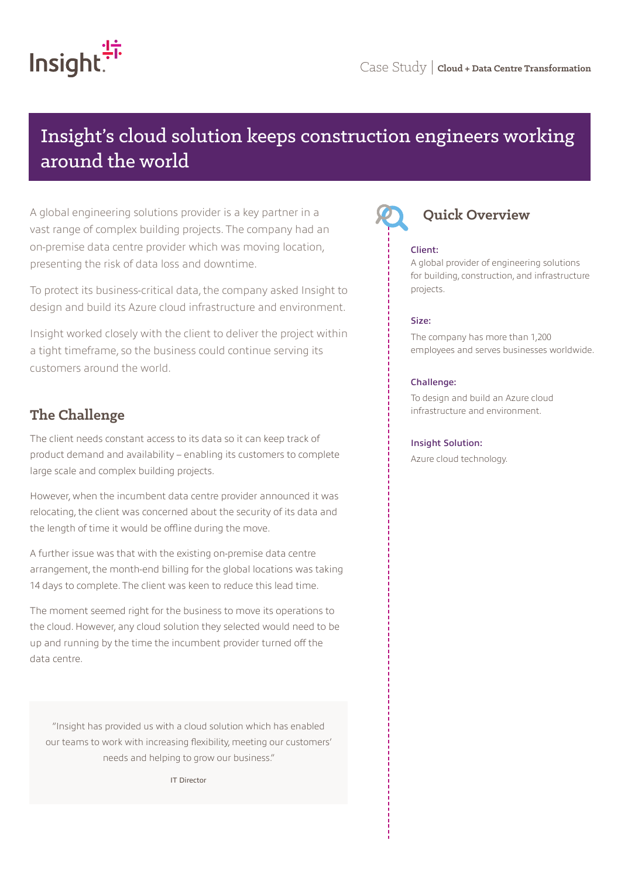

# Insight's cloud solution keeps construction engineers working around the world

A global engineering solutions provider is a key partner in a vast range of complex building projects. The company had an on-premise data centre provider which was moving location, presenting the risk of data loss and downtime.

To protect its business-critical data, the company asked Insight to design and build its Azure cloud infrastructure and environment.

Insight worked closely with the client to deliver the project within a tight timeframe, so the business could continue serving its customers around the world.

### **The Challenge**

The client needs constant access to its data so it can keep track of product demand and availability – enabling its customers to complete large scale and complex building projects.

However, when the incumbent data centre provider announced it was relocating, the client was concerned about the security of its data and the length of time it would be offline during the move.

A further issue was that with the existing on-premise data centre arrangement, the month-end billing for the global locations was taking 14 days to complete. The client was keen to reduce this lead time.

The moment seemed right for the business to move its operations to the cloud. However, any cloud solution they selected would need to be up and running by the time the incumbent provider turned off the data centre.

"Insight has provided us with a cloud solution which has enabled our teams to work with increasing flexibility, meeting our customers' needs and helping to grow our business."

IT Director



### Client:

A global provider of engineering solutions for building, construction, and infrastructure projects.

#### Size:

The company has more than 1,200 employees and serves businesses worldwide.

#### Challenge:

To design and build an Azure cloud infrastructure and environment.

#### Insight Solution:

Azure cloud technology.